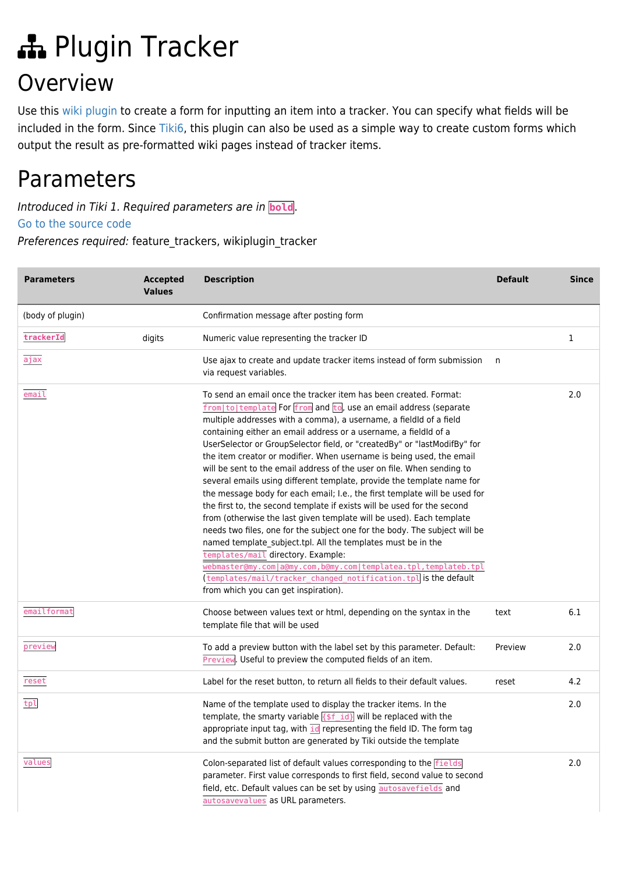# Plugin Tracker Overview

Use this [wiki plugin](https://doc.tiki.org/wiki%20plugin) to create a form for inputting an item into a tracker. You can specify what fields will be included in the form. Since [Tiki6](https://doc.tiki.org/Tiki6), this plugin can also be used as a simple way to create custom forms which output the result as pre-formatted wiki pages instead of tracker items.

# Parameters

Introduced in Tiki 1. Required parameters are in **bold**.

[Go to the source code](https://gitlab.com/tikiwiki/tiki/-/blob/master/lib/wiki-plugins/wikiplugin_tracker.php)

Preferences required: feature\_trackers, wikiplugin\_tracker

| <b>Parameters</b> | <b>Accepted</b><br><b>Values</b> | <b>Description</b>                                                                                                                                                                                                                                                                                                                                                                                                                                                                                                                                                                                                                                                                                                                                                                                                                                                                                                                                                                                                                                                                                                                                                                       | <b>Default</b> | <b>Since</b> |
|-------------------|----------------------------------|------------------------------------------------------------------------------------------------------------------------------------------------------------------------------------------------------------------------------------------------------------------------------------------------------------------------------------------------------------------------------------------------------------------------------------------------------------------------------------------------------------------------------------------------------------------------------------------------------------------------------------------------------------------------------------------------------------------------------------------------------------------------------------------------------------------------------------------------------------------------------------------------------------------------------------------------------------------------------------------------------------------------------------------------------------------------------------------------------------------------------------------------------------------------------------------|----------------|--------------|
| (body of plugin)  |                                  | Confirmation message after posting form                                                                                                                                                                                                                                                                                                                                                                                                                                                                                                                                                                                                                                                                                                                                                                                                                                                                                                                                                                                                                                                                                                                                                  |                |              |
| trackerId         | digits                           | Numeric value representing the tracker ID                                                                                                                                                                                                                                                                                                                                                                                                                                                                                                                                                                                                                                                                                                                                                                                                                                                                                                                                                                                                                                                                                                                                                |                | 1            |
| ajax              |                                  | Use ajax to create and update tracker items instead of form submission<br>via request variables.                                                                                                                                                                                                                                                                                                                                                                                                                                                                                                                                                                                                                                                                                                                                                                                                                                                                                                                                                                                                                                                                                         | n              |              |
| email             |                                  | To send an email once the tracker item has been created. Format:<br>from to template For from and to, use an email address (separate<br>multiple addresses with a comma), a username, a fieldid of a field<br>containing either an email address or a username, a fieldid of a<br>UserSelector or GroupSelector field, or "createdBy" or "lastModifBy" for<br>the item creator or modifier. When username is being used, the email<br>will be sent to the email address of the user on file. When sending to<br>several emails using different template, provide the template name for<br>the message body for each email; I.e., the first template will be used for<br>the first to, the second template if exists will be used for the second<br>from (otherwise the last given template will be used). Each template<br>needs two files, one for the subject one for the body. The subject will be<br>named template_subject.tpl. All the templates must be in the<br>templates/mail directory. Example:<br>webmaster@my.com a@my.com,b@my.com templatea.tpl,templateb.tpl<br>(templates/mail/tracker_changed_notification.tpl is the default<br>from which you can get inspiration). |                | 2.0          |
| emailformat       |                                  | Choose between values text or html, depending on the syntax in the<br>template file that will be used                                                                                                                                                                                                                                                                                                                                                                                                                                                                                                                                                                                                                                                                                                                                                                                                                                                                                                                                                                                                                                                                                    | text           | 6.1          |
| preview           |                                  | To add a preview button with the label set by this parameter. Default:<br>Preview. Useful to preview the computed fields of an item.                                                                                                                                                                                                                                                                                                                                                                                                                                                                                                                                                                                                                                                                                                                                                                                                                                                                                                                                                                                                                                                     | Preview        | 2.0          |
| reset             |                                  | Label for the reset button, to return all fields to their default values.                                                                                                                                                                                                                                                                                                                                                                                                                                                                                                                                                                                                                                                                                                                                                                                                                                                                                                                                                                                                                                                                                                                | reset          | 4.2          |
| tpl               |                                  | Name of the template used to display the tracker items. In the<br>template, the smarty variable $\sqrt{\frac{5f}{d}}$ will be replaced with the<br>appropriate input tag, with id representing the field ID. The form tag<br>and the submit button are generated by Tiki outside the template                                                                                                                                                                                                                                                                                                                                                                                                                                                                                                                                                                                                                                                                                                                                                                                                                                                                                            |                | 2.0          |
| values            |                                  | Colon-separated list of default values corresponding to the fields<br>parameter. First value corresponds to first field, second value to second<br>field, etc. Default values can be set by using autosavefields and<br>autosavevalues as URL parameters.                                                                                                                                                                                                                                                                                                                                                                                                                                                                                                                                                                                                                                                                                                                                                                                                                                                                                                                                |                | 2.0          |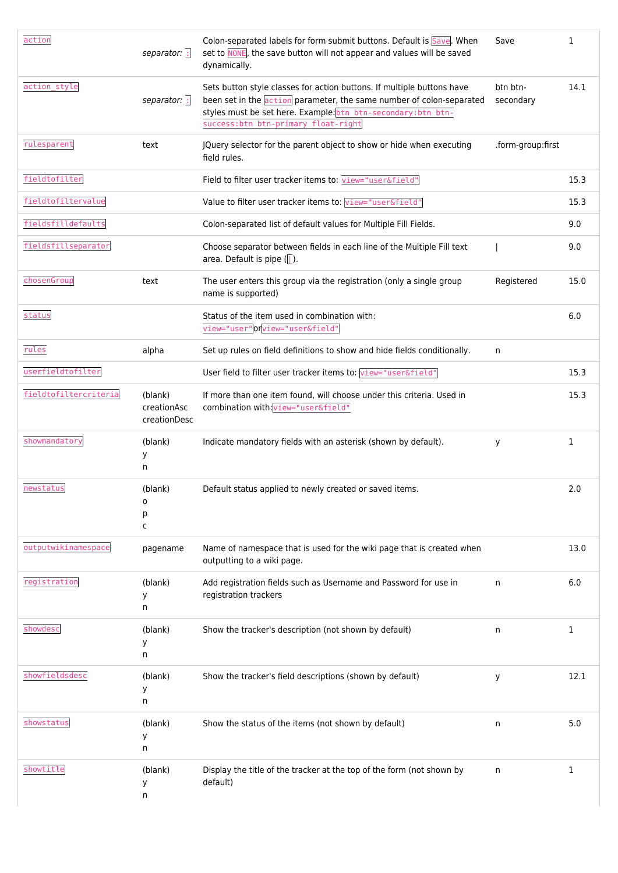| action                | separator: :                           | Colon-separated labels for form submit buttons. Default is Save. When<br>set to NONE, the save button will not appear and values will be saved<br>dynamically.                                                                                         | Save                  | 1            |
|-----------------------|----------------------------------------|--------------------------------------------------------------------------------------------------------------------------------------------------------------------------------------------------------------------------------------------------------|-----------------------|--------------|
| action_style          | separator: :                           | Sets button style classes for action buttons. If multiple buttons have<br>been set in the action parameter, the same number of colon-separated<br>styles must be set here. Example: btn btn-secondary: btn btn-<br>success:btn btn-primary float-right | btn btn-<br>secondary | 14.1         |
| rulesparent           | text                                   | JQuery selector for the parent object to show or hide when executing<br>field rules.                                                                                                                                                                   | .form-group:first     |              |
| fieldtofilter         |                                        | Field to filter user tracker items to: view="user&field"                                                                                                                                                                                               |                       | 15.3         |
| fieldtofiltervalue    |                                        | Value to filter user tracker items to: view="user&field"                                                                                                                                                                                               |                       | 15.3         |
| fieldsfilldefaults    |                                        | Colon-separated list of default values for Multiple Fill Fields.                                                                                                                                                                                       |                       | 9.0          |
| fieldsfillseparator   |                                        | Choose separator between fields in each line of the Multiple Fill text<br>area. Default is pipe $($                                                                                                                                                    |                       | 9.0          |
| chosenGroup           | text                                   | The user enters this group via the registration (only a single group<br>name is supported)                                                                                                                                                             | Registered            | 15.0         |
| status                |                                        | Status of the item used in combination with:<br>view="user" or view="user&field"                                                                                                                                                                       |                       | 6.0          |
| rules                 | alpha                                  | Set up rules on field definitions to show and hide fields conditionally.                                                                                                                                                                               | n                     |              |
| userfieldtofilter     |                                        | User field to filter user tracker items to: view="user&field"                                                                                                                                                                                          |                       | 15.3         |
| fieldtofiltercriteria | (blank)<br>creationAsc<br>creationDesc | If more than one item found, will choose under this criteria. Used in<br>combination with: view="user&field"                                                                                                                                           |                       | 15.3         |
| showmandatory         | (blank)<br>У<br>n                      | Indicate mandatory fields with an asterisk (shown by default).                                                                                                                                                                                         | y                     | 1            |
| newstatus             | (blank)<br>o<br>р<br>c                 | Default status applied to newly created or saved items.                                                                                                                                                                                                |                       | 2.0          |
| outputwikinamespace   | pagename                               | Name of namespace that is used for the wiki page that is created when<br>outputting to a wiki page.                                                                                                                                                    |                       | 13.0         |
| registration          | (blank)<br>У<br>n                      | Add registration fields such as Username and Password for use in<br>registration trackers                                                                                                                                                              | n                     | 6.0          |
| showdesc              | (blank)<br>У<br>n                      | Show the tracker's description (not shown by default)                                                                                                                                                                                                  | n                     | 1            |
| showfieldsdesc        | (blank)<br>у<br>n                      | Show the tracker's field descriptions (shown by default)                                                                                                                                                                                               | y                     | 12.1         |
| showstatus            | (blank)<br>у<br>n                      | Show the status of the items (not shown by default)                                                                                                                                                                                                    | n                     | 5.0          |
| showtitle             | (blank)<br>у<br>n                      | Display the title of the tracker at the top of the form (not shown by<br>default)                                                                                                                                                                      | n.                    | $\mathbf{1}$ |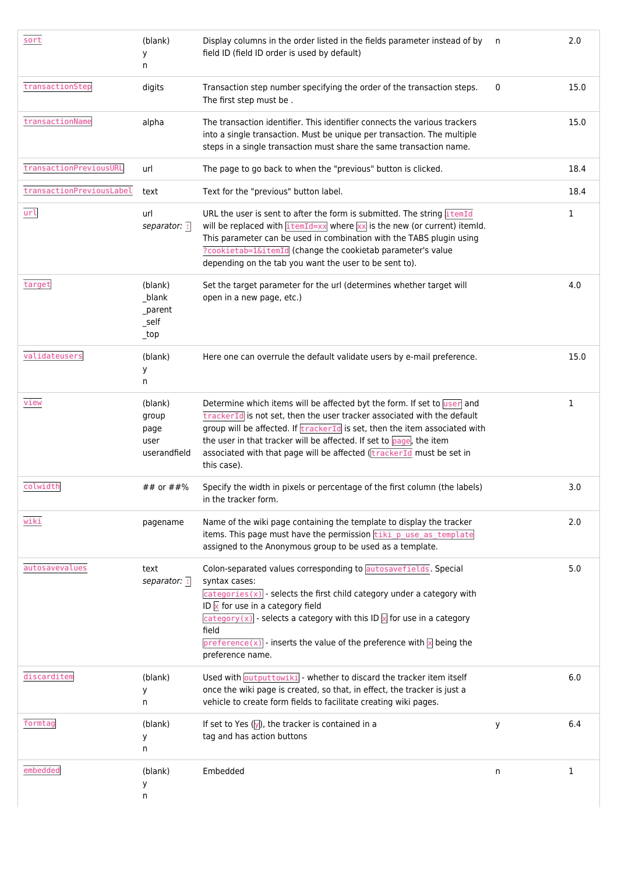| sort                     | (blank)<br>у<br>n                                 | Display columns in the order listed in the fields parameter instead of by<br>field ID (field ID order is used by default)                                                                                                                                                                                                                                                                                                   | n | 2.0  |
|--------------------------|---------------------------------------------------|-----------------------------------------------------------------------------------------------------------------------------------------------------------------------------------------------------------------------------------------------------------------------------------------------------------------------------------------------------------------------------------------------------------------------------|---|------|
| transactionStep          | digits                                            | Transaction step number specifying the order of the transaction steps.<br>The first step must be.                                                                                                                                                                                                                                                                                                                           | 0 | 15.0 |
| transactionName          | alpha                                             | The transaction identifier. This identifier connects the various trackers<br>into a single transaction. Must be unique per transaction. The multiple<br>steps in a single transaction must share the same transaction name.                                                                                                                                                                                                 |   | 15.0 |
| transactionPreviousURL   | url                                               | The page to go back to when the "previous" button is clicked.                                                                                                                                                                                                                                                                                                                                                               |   | 18.4 |
| transactionPreviousLabel | text                                              | Text for the "previous" button label.                                                                                                                                                                                                                                                                                                                                                                                       |   | 18.4 |
| url                      | url<br>separator: :                               | URL the user is sent to after the form is submitted. The string itemId<br>will be replaced with $\frac{1 \text{ termId} - x}{1 \text{ termId} - x}$ where $\frac{x}{x}$ is the new (or current) itemid.<br>This parameter can be used in combination with the TABS plugin using<br>?cookietab=1&itemId (change the cookietab parameter's value<br>depending on the tab you want the user to be sent to).                    |   | 1    |
| target                   | (blank)<br>_blank<br>_parent<br>_self<br>$_t$ top | Set the target parameter for the url (determines whether target will<br>open in a new page, etc.)                                                                                                                                                                                                                                                                                                                           |   | 4.0  |
| validateusers            | (blank)<br>у<br>n                                 | Here one can overrule the default validate users by e-mail preference.                                                                                                                                                                                                                                                                                                                                                      |   | 15.0 |
| view                     | (blank)<br>group<br>page<br>user<br>userandfield  | Determine which items will be affected byt the form. If set to user and<br>trackerId is not set, then the user tracker associated with the default<br>group will be affected. If <i>trackerId</i> is set, then the item associated with<br>the user in that tracker will be affected. If set to page, the item<br>associated with that page will be affected (trackerId must be set in<br>this case).                       |   | 1    |
| colwidth                 | ## or ##%                                         | Specify the width in pixels or percentage of the first column (the labels)<br>in the tracker form.                                                                                                                                                                                                                                                                                                                          |   | 3.0  |
| wiki                     | pagename                                          | Name of the wiki page containing the template to display the tracker<br>items. This page must have the permission tiki puse as template<br>assigned to the Anonymous group to be used as a template.                                                                                                                                                                                                                        |   | 2.0  |
| autosavevalues           | text<br>separator: :                              | Colon-separated values corresponding to autosavefields. Special<br>syntax cases:<br>$\overline{\text{categorical}}(x)$ - selects the first child category under a category with<br>ID $\times$ for use in a category field<br>category $(x)$ - selects a category with this ID $\sqrt{x}$ for use in a category<br>field<br>preference(x) - inserts the value of the preference with $\times$ being the<br>preference name. |   | 5.0  |
| discarditem              | (blank)<br>У<br>n                                 | Used with outputtowiki - whether to discard the tracker item itself<br>once the wiki page is created, so that, in effect, the tracker is just a<br>vehicle to create form fields to facilitate creating wiki pages.                                                                                                                                                                                                         |   | 6.0  |
| formtag                  | (blank)<br>у<br>n                                 | If set to Yes $(y)$ , the tracker is contained in a<br>tag and has action buttons                                                                                                                                                                                                                                                                                                                                           | У | 6.4  |
| embedded                 | (blank)<br>у<br>n                                 | Embedded                                                                                                                                                                                                                                                                                                                                                                                                                    | n | 1    |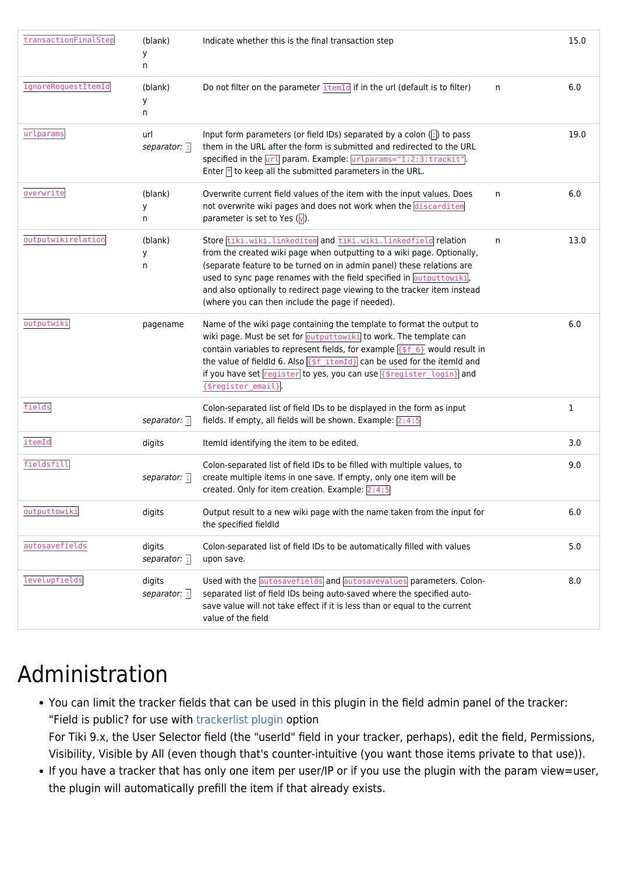| transactionFinalStep | (blank)<br>у<br>n      | Indicate whether this is the final transaction step                                                                                                                                                                                                                                                                                                                                                                      |    | 15.0         |
|----------------------|------------------------|--------------------------------------------------------------------------------------------------------------------------------------------------------------------------------------------------------------------------------------------------------------------------------------------------------------------------------------------------------------------------------------------------------------------------|----|--------------|
| ignoreRequestItemId  | (blank)<br>у<br>n      | Do not filter on the parameter itemId if in the url (default is to filter)                                                                                                                                                                                                                                                                                                                                               | n  | 6.0          |
| urlparams            | url<br>separator: :    | Input form parameters (or field IDs) separated by a colon (:) to pass<br>them in the URL after the form is submitted and redirected to the URL<br>specified in the url param. Example: urlparams="1:2:3:trackit".<br>Enter $\mathbb F$ to keep all the submitted parameters in the URL.                                                                                                                                  |    | 19.0         |
| overwrite            | (blank)<br>у<br>n      | Overwrite current field values of the item with the input values. Does<br>not overwrite wiki pages and does not work when the discarditem<br>parameter is set to Yes $(y)$ .                                                                                                                                                                                                                                             | n. | 6.0          |
| outputwikirelation   | (blank)<br>у<br>n      | Store tiki.wiki.linkeditem and tiki.wiki.linkedfield relation<br>from the created wiki page when outputting to a wiki page. Optionally,<br>(separate feature to be turned on in admin panel) these relations are<br>used to sync page renames with the field specified in output towiki,<br>and also optionally to redirect page viewing to the tracker item instead<br>(where you can then include the page if needed). | n  | 13.0         |
| outputwiki           | pagename               | Name of the wiki page containing the template to format the output to<br>wiki page. Must be set for outputtowiki to work. The template can<br>contain variables to represent fields, for example $\{ $f_6 \}$ would result in<br>the value of fieldld 6. Also $\sqrt{5f_i\text{itemId}}$ can be used for the itemid and<br>if you have set register to yes, you can use {\$register_login} and<br>{\$register_email}     |    | 6.0          |
| fields               | separator: :           | Colon-separated list of field IDs to be displayed in the form as input<br>fields. If empty, all fields will be shown. Example: $2:4:5$                                                                                                                                                                                                                                                                                   |    | $\mathbf{1}$ |
| itemId               | digits                 | ItemId identifying the item to be edited.                                                                                                                                                                                                                                                                                                                                                                                |    | 3.0          |
| fieldsfill           | separator: :           | Colon-separated list of field IDs to be filled with multiple values, to<br>create multiple items in one save. If empty, only one item will be<br>created. Only for item creation. Example: 2:4:5                                                                                                                                                                                                                         |    | 9.0          |
| outputtowiki         | digits                 | Output result to a new wiki page with the name taken from the input for<br>the specified fieldId                                                                                                                                                                                                                                                                                                                         |    | 6.0          |
| autosavefields       | digits<br>separator: : | Colon-separated list of field IDs to be automatically filled with values<br>upon save.                                                                                                                                                                                                                                                                                                                                   |    | 5.0          |
| levelupfields        | digits<br>separator: : | Used with the autosavefields and autosavevalues parameters. Colon-<br>separated list of field IDs being auto-saved where the specified auto-<br>save value will not take effect if it is less than or equal to the current<br>value of the field                                                                                                                                                                         |    | 8.0          |

# Administration

- You can limit the tracker fields that can be used in this plugin in the field admin panel of the tracker: "Field is public? for use with [trackerlist plugin](https://doc.tiki.org/PluginTrackerList) option For Tiki 9.x, the User Selector field (the "userId" field in your tracker, perhaps), edit the field, Permissions, Visibility, Visible by All (even though that's counter-intuitive (you want those items private to that use)).
- If you have a tracker that has only one item per user/IP or if you use the plugin with the param view=user, the plugin will automatically prefill the item if that already exists.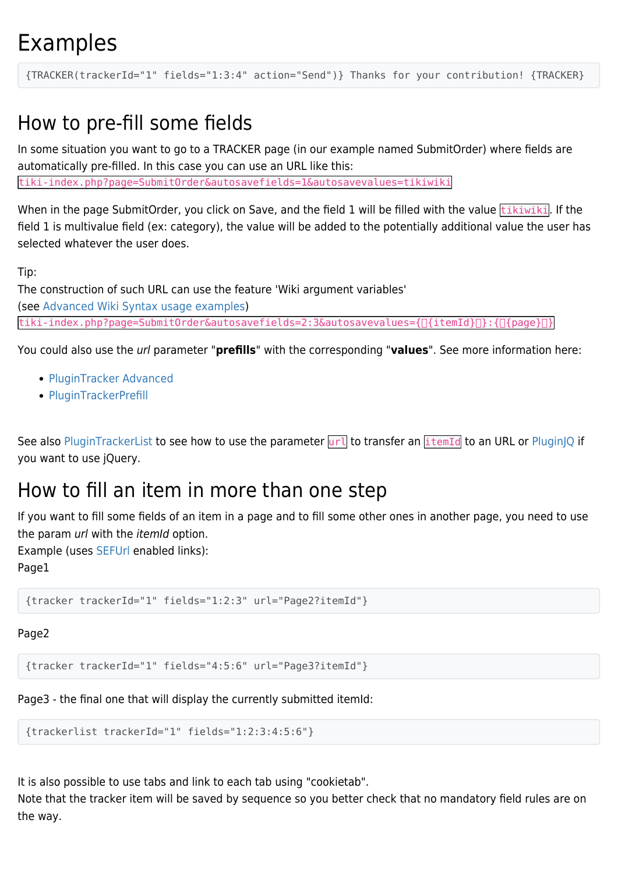# Examples

{TRACKER(trackerId="1" fields="1:3:4" action="Send")} Thanks for your contribution! {TRACKER}

# How to pre-fill some fields

In some situation you want to go to a TRACKER page (in our example named SubmitOrder) where fields are automatically pre-filled. In this case you can use an URL like this:

tiki-index.php?page=SubmitOrder&autosavefields=1&autosavevalues=tikiwiki

When in the page SubmitOrder, you click on Save, and the field 1 will be filled with the value  $\frac{t}{t}$ ikiwiki. If the field 1 is multivalue field (ex: category), the value will be added to the potentially additional value the user has selected whatever the user does.

Tip:

The construction of such URL can use the feature 'Wiki argument variables' (see [Advanced Wiki Syntax usage examples](https://doc.tiki.org/Advanced-Wiki-Syntax-usage-examples#How_to_display_URL_param_in_a_page_or_the_page_name_or_the_user_name)) tiki-index.php?page=SubmitOrder&autosavefields=2:3&autosavevalues={[]{itemId}[]}:{[]{page}[]}

You could also use the url parameter "**prefills**" with the corresponding "**values**". See more information here:

- [PluginTracker Advanced](https://doc.tiki.org/PluginTracker-Advanced)
- [PluginTrackerPrefill](https://doc.tiki.org/PluginTrackerPrefill)

See also [PluginTrackerList](https://doc.tiki.org/PluginTrackerList) to see how to use the parameter url to transfer an itemId to an URL or [PluginJQ](https://doc.tiki.org/PluginJq) if you want to use jQuery.

# How to fill an item in more than one step

If you want to fill some fields of an item in a page and to fill some other ones in another page, you need to use the param url with the *itemId* option.

Example (uses [SEFUrl](https://doc.tiki.org/SEFUrl) enabled links):

Page1

{tracker trackerId="1" fields="1:2:3" url="Page2?itemId"}

#### Page2

{tracker trackerId="1" fields="4:5:6" url="Page3?itemId"}

Page3 - the final one that will display the currently submitted itemId:

```
{trackerlist trackerId="1" fields="1:2:3:4:5:6"}
```
It is also possible to use tabs and link to each tab using "cookietab".

Note that the tracker item will be saved by sequence so you better check that no mandatory field rules are on the way.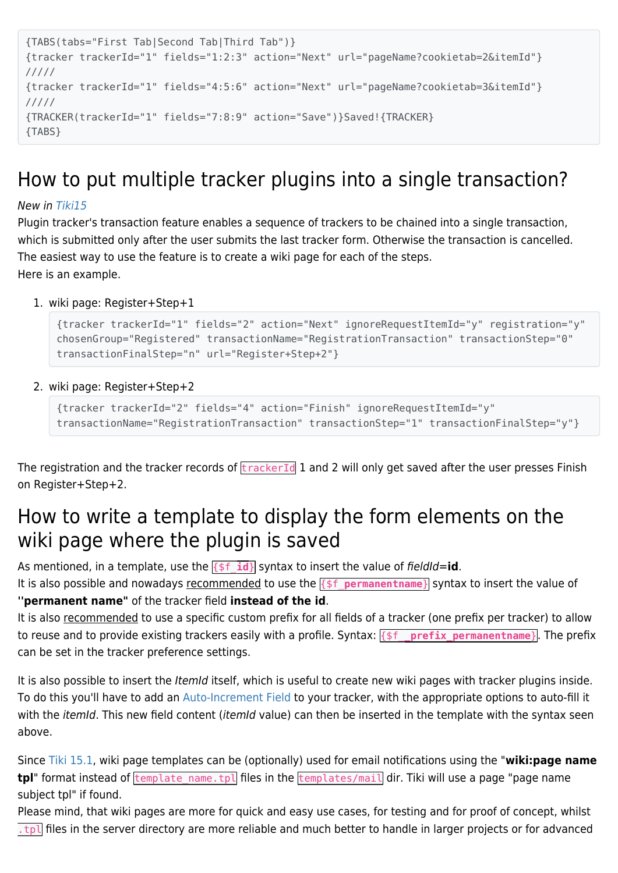```
{TABS(tabs="First Tab|Second Tab|Third Tab")}
{tracker trackerId="1" fields="1:2:3" action="Next" url="pageName?cookietab=2&itemId"}
/////
{tracker trackerId="1" fields="4:5:6" action="Next" url="pageName?cookietab=3&itemId"}
/////
{TRACKER(trackerId="1" fields="7:8:9" action="Save")}Saved!{TRACKER}
{TABS}
```
# How to put multiple tracker plugins into a single transaction?

#### New in [Tiki15](https://doc.tiki.org/Tiki15)

Plugin tracker's transaction feature enables a sequence of trackers to be chained into a single transaction, which is submitted only after the user submits the last tracker form. Otherwise the transaction is cancelled. The easiest way to use the feature is to create a wiki page for each of the steps. Here is an example.

1. wiki page: Register+Step+1

```
{tracker trackerId="1" fields="2" action="Next" ignoreRequestItemId="y" registration="y"
chosenGroup="Registered" transactionName="RegistrationTransaction" transactionStep="0"
transactionFinalStep="n" url="Register+Step+2"}
```
2. wiki page: Register+Step+2

```
{tracker trackerId="2" fields="4" action="Finish" ignoreRequestItemId="y"
transactionName="RegistrationTransaction" transactionStep="1" transactionFinalStep="y"}
```
The registration and the tracker records of  $\frac{1}{k}$  trackerId 1 and 2 will only get saved after the user presses Finish on Register+Step+2.

# How to write a template to display the form elements on the wiki page where the plugin is saved

As mentioned, in a template, use the  $\{ \}$   $\{ \}$  syntax to insert the value of fieldId=**id**.

It is also possible and nowadays recommended to use the  $\frac{1}{5}$  permanentname<sup>}</sup> syntax to insert the value of **''permanent name"** of the tracker field **instead of the id**.

It is also recommended to use a specific custom prefix for all fields of a tracker (one prefix per tracker) to allow to reuse and to provide existing trackers easily with a profile. Syntax:  $\{S_f$  prefix permanentname<sup>}</sup>. The prefix can be set in the tracker preference settings.

It is also possible to insert the *ItemId* itself, which is useful to create new wiki pages with tracker plugins inside. To do this you'll have to add an [Auto-Increment Field](https://doc.tiki.org/Auto-Increment-Field) to your tracker, with the appropriate options to auto-fill it with the *itemId*. This new field content (*itemId* value) can then be inserted in the template with the syntax seen above.

Since [Tiki 15.1,](https://doc.tiki.org/Tiki15) wiki page templates can be (optionally) used for email notifications using the "**wiki:page name tpl**" format instead of template name.tpl files in the templates/mail dir. Tiki will use a page "page name subject tpl" if found.

Please mind, that wiki pages are more for quick and easy use cases, for testing and for proof of concept, whilst  $[t_{\rm b}]$  files in the server directory are more reliable and much better to handle in larger projects or for advanced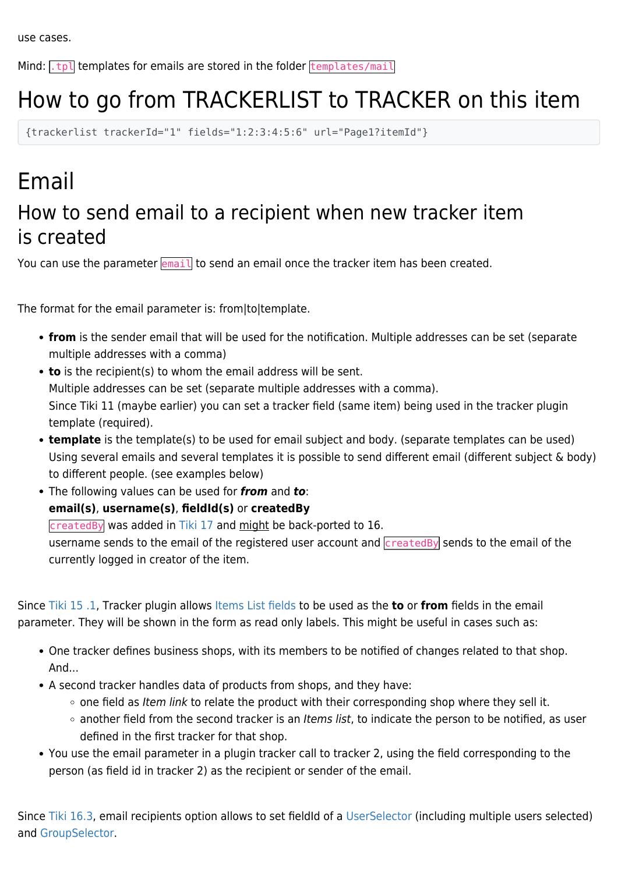Mind:  $\lceil \frac{t}{v} \rceil$  templates for emails are stored in the folder  $\lceil \frac{t}{v} \rceil$ 

# How to go from TRACKERLIST to TRACKER on this item

{trackerlist trackerId="1" fields="1:2:3:4:5:6" url="Page1?itemId"}

# Email How to send email to a recipient when new tracker item is created

You can use the parameter  $\sqrt{enail}$  to send an email once the tracker item has been created.

The format for the email parameter is: from|to|template.

- **from** is the sender email that will be used for the notification. Multiple addresses can be set (separate multiple addresses with a comma)
- **to** is the recipient(s) to whom the email address will be sent. Multiple addresses can be set (separate multiple addresses with a comma). Since Tiki 11 (maybe earlier) you can set a tracker field (same item) being used in the tracker plugin template (required).
- **template** is the template(s) to be used for email subject and body. (separate templates can be used) Using several emails and several templates it is possible to send different email (different subject & body) to different people. (see examples below)
- The following values can be used for *from* and *to*:
	- **email(s)**, **username(s)**, **fieldId(s)** or **createdBy**

createdBy was added in [Tiki 17](https://doc.tiki.org/Tiki%2017) and might be back-ported to 16.

username sends to the email of the registered user account and *createdBy* sends to the email of the currently logged in creator of the item.

Since [Tiki 15 .1,](https://doc.tiki.org/Tiki15) Tracker plugin allows [Items List fields](https://doc.tiki.org/Items-List-and-Item-Link-Tracker-Fields) to be used as the **to** or **from** fields in the email parameter. They will be shown in the form as read only labels. This might be useful in cases such as:

- One tracker defines business shops, with its members to be notified of changes related to that shop. And...
- A second tracker handles data of products from shops, and they have:
	- $\circ$  one field as Item link to relate the product with their corresponding shop where they sell it.
	- o another field from the second tracker is an Items list, to indicate the person to be notified, as user defined in the first tracker for that shop.
- You use the email parameter in a plugin tracker call to tracker 2, using the field corresponding to the person (as field id in tracker 2) as the recipient or sender of the email.

Since [Tiki 16.3,](https://doc.tiki.org/Tiki16) email recipients option allows to set fieldId of a [UserSelector](https://doc.tiki.org/User-selector) (including multiple users selected) and [GroupSelector.](https://doc.tiki.org/Group-selector)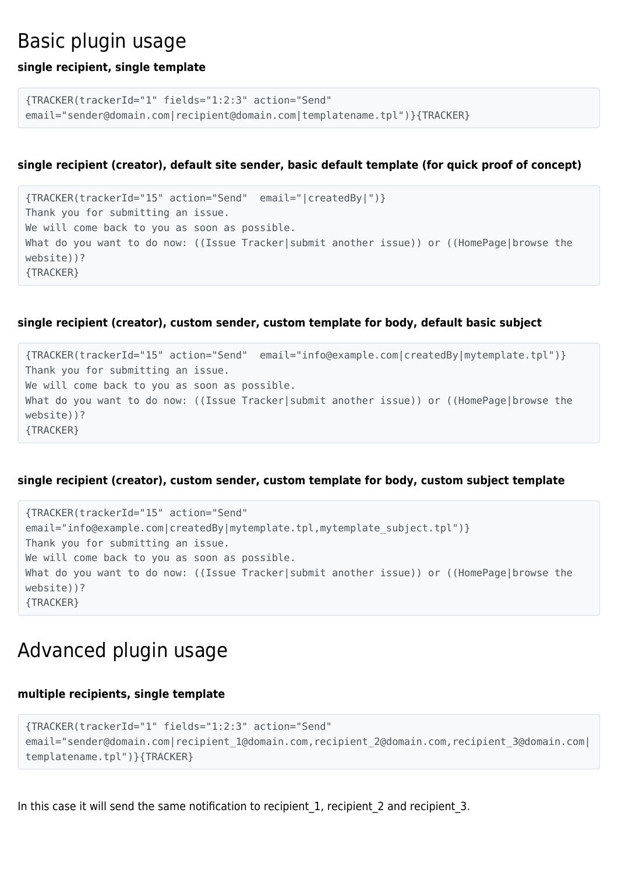### Basic plugin usage

#### **single recipient, single template**

```
{TRACKER(trackerId="1" fields="1:2:3" action="Send"
email="sender@domain.com|recipient@domain.com|templatename.tpl")}{TRACKER}
```
#### **single recipient (creator), default site sender, basic default template (for quick proof of concept)**

```
{TRACKER(trackerId="15" action="Send" email="|createdBy|")}
Thank you for submitting an issue.
We will come back to you as soon as possible.
What do you want to do now: ((Issue Tracker|submit another issue)) or ((HomePage|browse the
website))?
{TRACKER}
```
#### **single recipient (creator), custom sender, custom template for body, default basic subject**

{TRACKER(trackerId="15" action="Send" email="info@example.com|createdBy|mytemplate.tpl")} Thank you for submitting an issue. We will come back to you as soon as possible. What do you want to do now: ((Issue Tracker|submit another issue)) or ((HomePage|browse the website))? {TRACKER}

#### **single recipient (creator), custom sender, custom template for body, custom subject template**

```
{TRACKER(trackerId="15" action="Send"
email="info@example.com|createdBy|mytemplate.tpl,mytemplate_subject.tpl")}
Thank you for submitting an issue.
We will come back to you as soon as possible.
What do you want to do now: ((Issue Tracker|submit another issue)) or ((HomePage|browse the
website))?
{TRACKER}
```
### Advanced plugin usage

#### **multiple recipients, single template**

```
{TRACKER(trackerId="1" fields="1:2:3" action="Send"
email="sender@domain.com|recipient_1@domain.com,recipient_2@domain.com,recipient_3@domain.com|
templatename.tpl")}{TRACKER}
```
In this case it will send the same notification to recipient 1, recipient 2 and recipient 3.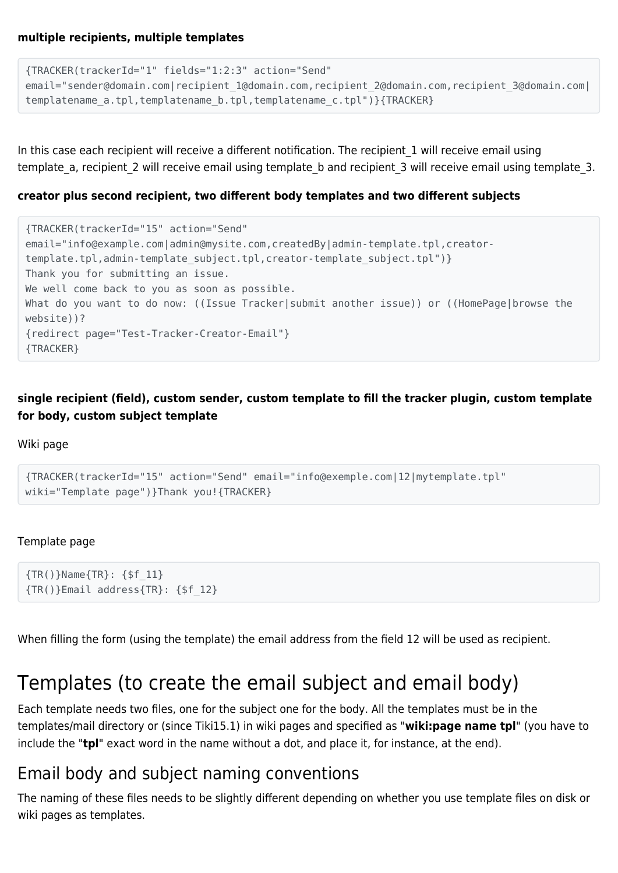```
{TRACKER(trackerId="1" fields="1:2:3" action="Send"
email="sender@domain.com|recipient_1@domain.com,recipient_2@domain.com,recipient_3@domain.com|
templatename a.tpl,templatename b.tpl,templatename c.tpl")}{TRACKER}
```
In this case each recipient will receive a different notification. The recipient 1 will receive email using template a, recipient 2 will receive email using template b and recipient 3 will receive email using template 3.

#### **creator plus second recipient, two different body templates and two different subjects**

```
{TRACKER(trackerId="15" action="Send"
email="info@example.com|admin@mysite.com,createdBy|admin-template.tpl,creator-
template.tpl,admin-template_subject.tpl,creator-template_subject.tpl")}
Thank you for submitting an issue.
We well come back to you as soon as possible.
What do you want to do now: ((Issue Tracker|submit another issue)) or ((HomePage|browse the
website))?
{redirect page="Test-Tracker-Creator-Email"}
{TRACKER}
```
**single recipient (field), custom sender, custom template to fill the tracker plugin, custom template for body, custom subject template**

Wiki page

```
{TRACKER(trackerId="15" action="Send" email="info@exemple.com|12|mytemplate.tpl"
wiki="Template page")}Thank you!{TRACKER}
```
#### Template page

```
{TR()}Name{TR}: {$f_11}
{TR()}Email address{TR}: {$f_12}
```
When filling the form (using the template) the email address from the field 12 will be used as recipient.

# Templates (to create the email subject and email body)

Each template needs two files, one for the subject one for the body. All the templates must be in the templates/mail directory or (since Tiki15.1) in wiki pages and specified as "**wiki:page name tpl**" (you have to include the "**tpl**" exact word in the name without a dot, and place it, for instance, at the end).

### Email body and subject naming conventions

The naming of these files needs to be slightly different depending on whether you use template files on disk or wiki pages as templates.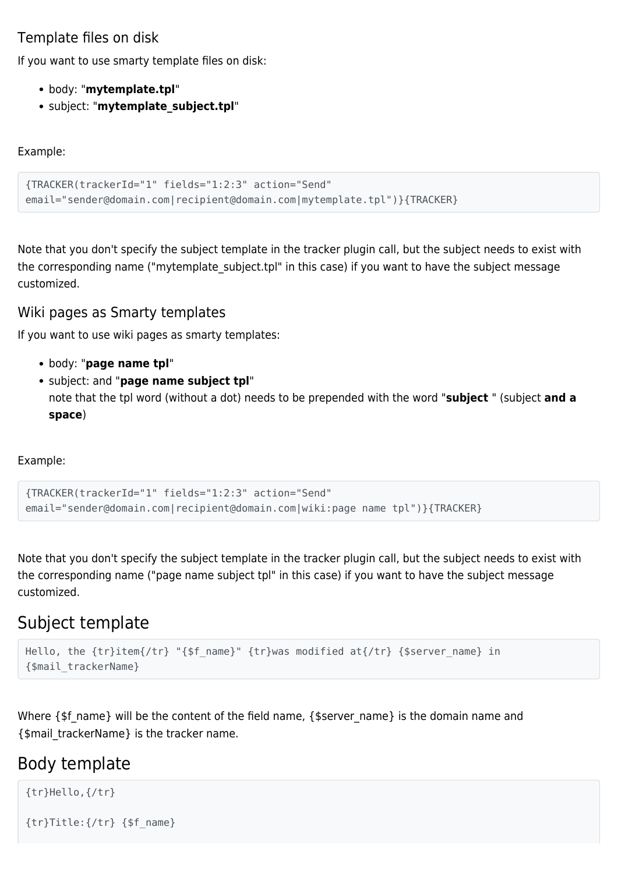### Template files on disk

If you want to use smarty template files on disk:

- body: "**mytemplate.tpl**"
- subject: "**mytemplate\_subject.tpl**"

Example:

```
{TRACKER(trackerId="1" fields="1:2:3" action="Send"
email="sender@domain.com|recipient@domain.com|mytemplate.tpl")}{TRACKER}
```
Note that you don't specify the subject template in the tracker plugin call, but the subject needs to exist with the corresponding name ("mytemplate subject.tpl" in this case) if you want to have the subject message customized.

#### Wiki pages as Smarty templates

If you want to use wiki pages as smarty templates:

- body: "**page name tpl**"
- subject: and "**page name subject tpl**" note that the tpl word (without a dot) needs to be prepended with the word "**subject** " (subject **and a space**)

Example:

```
{TRACKER(trackerId="1" fields="1:2:3" action="Send"
email="sender@domain.com|recipient@domain.com|wiki:page name tpl")}{TRACKER}
```
Note that you don't specify the subject template in the tracker plugin call, but the subject needs to exist with the corresponding name ("page name subject tpl" in this case) if you want to have the subject message customized.

### Subject template

```
Hello, the {tr}item{/tr} "{$f_name}" {tr}was modified at{/tr} {$server_name} in
{$mail_trackerName}
```
Where {\$f\_name} will be the content of the field name, {\$server\_name} is the domain name and {\$mail\_trackerName} is the tracker name.

### Body template

```
{tr}Hello,{/tr}
{tr}Title:{/tr} {$f_name}
```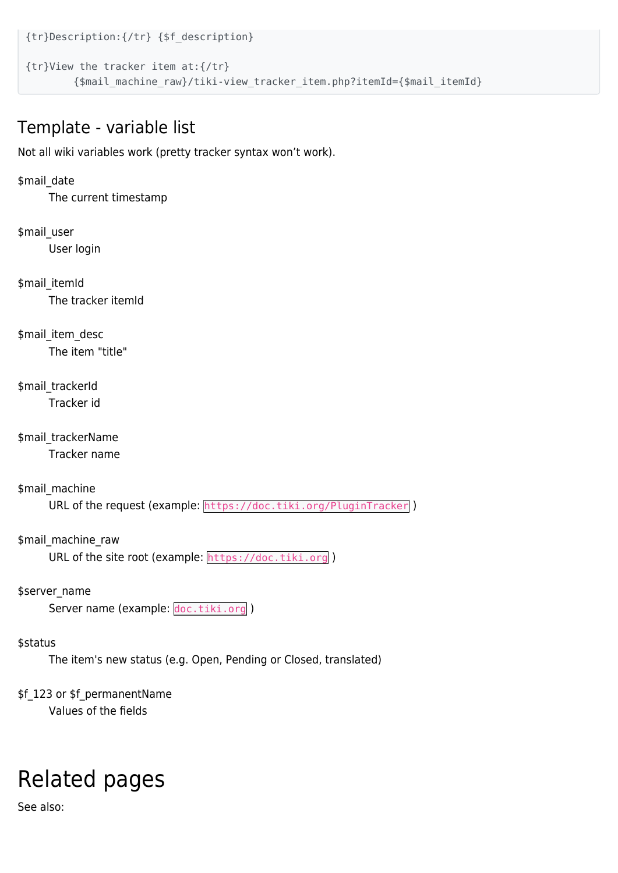{tr}Description:{/tr} {\$f\_description} {tr}View the tracker item at:{/tr}

{\$mail\_machine\_raw}/tiki-view\_tracker\_item.php?itemId={\$mail\_itemId}

### Template - variable list

Not all wiki variables work (pretty tracker syntax won't work).

#### \$mail\_date

The current timestamp

#### \$mail\_user User login

\$mail\_itemId The tracker itemId

\$mail\_item\_desc The item "title"

#### \$mail\_trackerId Tracker id

\$mail\_trackerName Tracker name

\$mail\_machine

URL of the request (example: https://doc.tiki.org/PluginTracker)

\$mail\_machine\_raw URL of the site root (example: https://doc.tiki.org)

\$server\_name

Server name (example: doc.tiki.org)

#### \$status

The item's new status (e.g. Open, Pending or Closed, translated)

#### \$f\_123 or \$f\_permanentName

Values of the fields

# Related pages

See also: